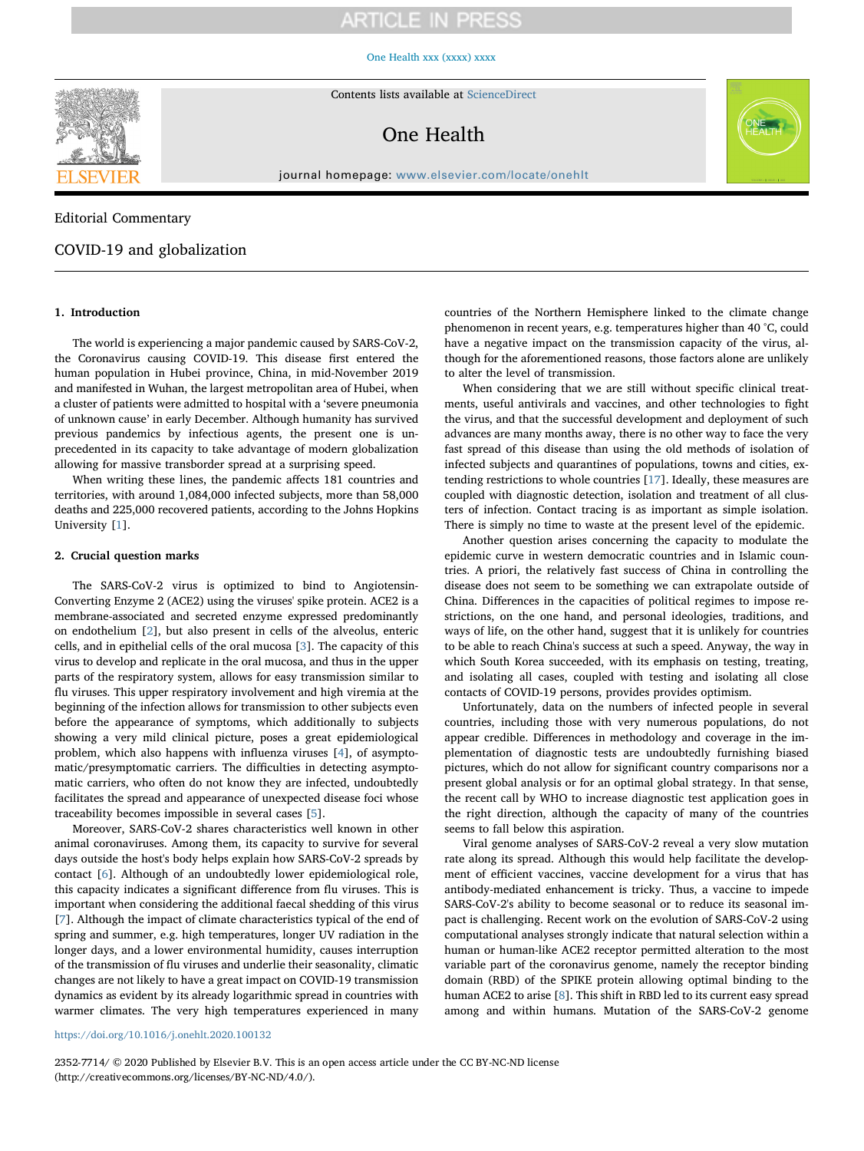# **ARTICLE IN PRESS**

#### [One Health xxx \(xxxx\) xxxx](https://doi.org/10.1016/j.onehlt.2020.100132)



Contents lists available at [ScienceDirect](http://www.sciencedirect.com/science/journal/23527714)

# One Health



journal homepage: [www.elsevier.com/locate/onehlt](https://www.elsevier.com/locate/onehlt)

## Editorial Commentary

**SEVIER** 

## COVID-19 and globalization

#### 1. Introduction

The world is experiencing a major pandemic caused by SARS-CoV-2, the Coronavirus causing COVID-19. This disease first entered the human population in Hubei province, China, in mid-November 2019 and manifested in Wuhan, the largest metropolitan area of Hubei, when a cluster of patients were admitted to hospital with a 'severe pneumonia of unknown cause' in early December. Although humanity has survived previous pandemics by infectious agents, the present one is unprecedented in its capacity to take advantage of modern globalization allowing for massive transborder spread at a surprising speed.

When writing these lines, the pandemic affects 181 countries and territories, with around 1,084,000 infected subjects, more than 58,000 deaths and 225,000 recovered patients, according to the Johns Hopkins University [\[1](#page-3-0)].

#### 2. Crucial question marks

The SARS-CoV-2 virus is optimized to bind to Angiotensin-Converting Enzyme 2 (ACE2) using the viruses' spike protein. ACE2 is a membrane-associated and secreted enzyme expressed predominantly on endothelium [\[2\]](#page-3-1), but also present in cells of the alveolus, enteric cells, and in epithelial cells of the oral mucosa [[3](#page-3-2)]. The capacity of this virus to develop and replicate in the oral mucosa, and thus in the upper parts of the respiratory system, allows for easy transmission similar to flu viruses. This upper respiratory involvement and high viremia at the beginning of the infection allows for transmission to other subjects even before the appearance of symptoms, which additionally to subjects showing a very mild clinical picture, poses a great epidemiological problem, which also happens with influenza viruses [[4](#page-3-3)], of asymptomatic/presymptomatic carriers. The difficulties in detecting asymptomatic carriers, who often do not know they are infected, undoubtedly facilitates the spread and appearance of unexpected disease foci whose traceability becomes impossible in several cases [\[5\]](#page-3-4).

Moreover, SARS-CoV-2 shares characteristics well known in other animal coronaviruses. Among them, its capacity to survive for several days outside the host's body helps explain how SARS-CoV-2 spreads by contact [\[6\]](#page-3-5). Although of an undoubtedly lower epidemiological role, this capacity indicates a significant difference from flu viruses. This is important when considering the additional faecal shedding of this virus [[7](#page-3-6)]. Although the impact of climate characteristics typical of the end of spring and summer, e.g. high temperatures, longer UV radiation in the longer days, and a lower environmental humidity, causes interruption of the transmission of flu viruses and underlie their seasonality, climatic changes are not likely to have a great impact on COVID-19 transmission dynamics as evident by its already logarithmic spread in countries with warmer climates. The very high temperatures experienced in many

countries of the Northern Hemisphere linked to the climate change phenomenon in recent years, e.g. temperatures higher than 40 °C, could have a negative impact on the transmission capacity of the virus, although for the aforementioned reasons, those factors alone are unlikely to alter the level of transmission.

When considering that we are still without specific clinical treatments, useful antivirals and vaccines, and other technologies to fight the virus, and that the successful development and deployment of such advances are many months away, there is no other way to face the very fast spread of this disease than using the old methods of isolation of infected subjects and quarantines of populations, towns and cities, extending restrictions to whole countries [[17\]](#page-3-7). Ideally, these measures are coupled with diagnostic detection, isolation and treatment of all clusters of infection. Contact tracing is as important as simple isolation. There is simply no time to waste at the present level of the epidemic.

Another question arises concerning the capacity to modulate the epidemic curve in western democratic countries and in Islamic countries. A priori, the relatively fast success of China in controlling the disease does not seem to be something we can extrapolate outside of China. Differences in the capacities of political regimes to impose restrictions, on the one hand, and personal ideologies, traditions, and ways of life, on the other hand, suggest that it is unlikely for countries to be able to reach China's success at such a speed. Anyway, the way in which South Korea succeeded, with its emphasis on testing, treating, and isolating all cases, coupled with testing and isolating all close contacts of COVID-19 persons, provides provides optimism.

Unfortunately, data on the numbers of infected people in several countries, including those with very numerous populations, do not appear credible. Differences in methodology and coverage in the implementation of diagnostic tests are undoubtedly furnishing biased pictures, which do not allow for significant country comparisons nor a present global analysis or for an optimal global strategy. In that sense, the recent call by WHO to increase diagnostic test application goes in the right direction, although the capacity of many of the countries seems to fall below this aspiration.

Viral genome analyses of SARS-CoV-2 reveal a very slow mutation rate along its spread. Although this would help facilitate the development of efficient vaccines, vaccine development for a virus that has antibody-mediated enhancement is tricky. Thus, a vaccine to impede SARS-CoV-2's ability to become seasonal or to reduce its seasonal impact is challenging. Recent work on the evolution of SARS-CoV-2 using computational analyses strongly indicate that natural selection within a human or human-like ACE2 receptor permitted alteration to the most variable part of the coronavirus genome, namely the receptor binding domain (RBD) of the SPIKE protein allowing optimal binding to the human ACE2 to arise [\[8\]](#page-3-8). This shift in RBD led to its current easy spread among and within humans. Mutation of the SARS-CoV-2 genome

#### <https://doi.org/10.1016/j.onehlt.2020.100132>

2352-7714/ © 2020 Published by Elsevier B.V. This is an open access article under the CC BY-NC-ND license (http://creativecommons.org/licenses/BY-NC-ND/4.0/).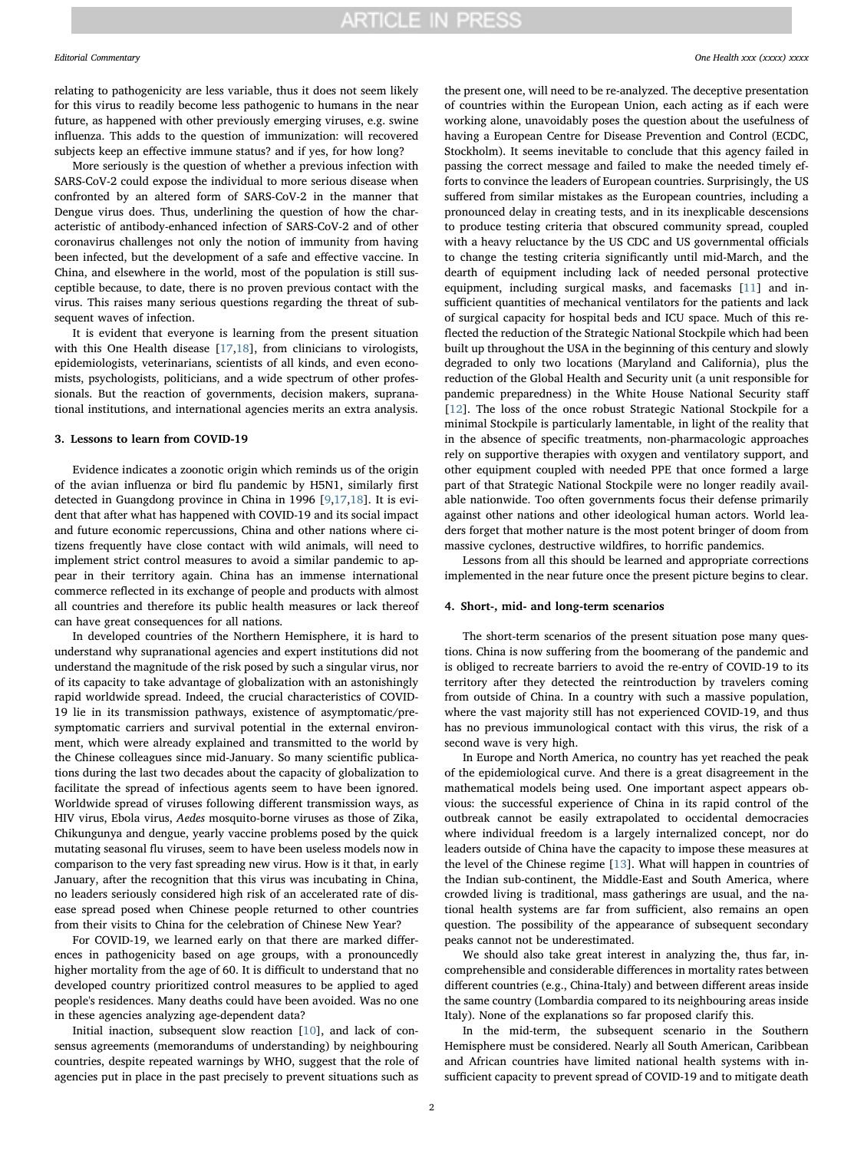relating to pathogenicity are less variable, thus it does not seem likely for this virus to readily become less pathogenic to humans in the near future, as happened with other previously emerging viruses, e.g. swine influenza. This adds to the question of immunization: will recovered subjects keep an effective immune status? and if yes, for how long?

More seriously is the question of whether a previous infection with SARS-CoV-2 could expose the individual to more serious disease when confronted by an altered form of SARS-CoV-2 in the manner that Dengue virus does. Thus, underlining the question of how the characteristic of antibody-enhanced infection of SARS-CoV-2 and of other coronavirus challenges not only the notion of immunity from having been infected, but the development of a safe and effective vaccine. In China, and elsewhere in the world, most of the population is still susceptible because, to date, there is no proven previous contact with the virus. This raises many serious questions regarding the threat of subsequent waves of infection.

It is evident that everyone is learning from the present situation with this One Health disease [[17,](#page-3-7)[18\]](#page-3-9), from clinicians to virologists, epidemiologists, veterinarians, scientists of all kinds, and even economists, psychologists, politicians, and a wide spectrum of other professionals. But the reaction of governments, decision makers, supranational institutions, and international agencies merits an extra analysis.

#### 3. Lessons to learn from COVID-19

Evidence indicates a zoonotic origin which reminds us of the origin of the avian influenza or bird flu pandemic by H5N1, similarly first detected in Guangdong province in China in 1996 [[9](#page-3-10)[,17](#page-3-7),[18\]](#page-3-9). It is evident that after what has happened with COVID-19 and its social impact and future economic repercussions, China and other nations where citizens frequently have close contact with wild animals, will need to implement strict control measures to avoid a similar pandemic to appear in their territory again. China has an immense international commerce reflected in its exchange of people and products with almost all countries and therefore its public health measures or lack thereof can have great consequences for all nations.

In developed countries of the Northern Hemisphere, it is hard to understand why supranational agencies and expert institutions did not understand the magnitude of the risk posed by such a singular virus, nor of its capacity to take advantage of globalization with an astonishingly rapid worldwide spread. Indeed, the crucial characteristics of COVID-19 lie in its transmission pathways, existence of asymptomatic/presymptomatic carriers and survival potential in the external environment, which were already explained and transmitted to the world by the Chinese colleagues since mid-January. So many scientific publications during the last two decades about the capacity of globalization to facilitate the spread of infectious agents seem to have been ignored. Worldwide spread of viruses following different transmission ways, as HIV virus, Ebola virus, Aedes mosquito-borne viruses as those of Zika, Chikungunya and dengue, yearly vaccine problems posed by the quick mutating seasonal flu viruses, seem to have been useless models now in comparison to the very fast spreading new virus. How is it that, in early January, after the recognition that this virus was incubating in China, no leaders seriously considered high risk of an accelerated rate of disease spread posed when Chinese people returned to other countries from their visits to China for the celebration of Chinese New Year?

For COVID-19, we learned early on that there are marked differences in pathogenicity based on age groups, with a pronouncedly higher mortality from the age of 60. It is difficult to understand that no developed country prioritized control measures to be applied to aged people's residences. Many deaths could have been avoided. Was no one in these agencies analyzing age-dependent data?

Initial inaction, subsequent slow reaction [\[10\]](#page-3-11), and lack of consensus agreements (memorandums of understanding) by neighbouring countries, despite repeated warnings by WHO, suggest that the role of agencies put in place in the past precisely to prevent situations such as

the present one, will need to be re-analyzed. The deceptive presentation of countries within the European Union, each acting as if each were working alone, unavoidably poses the question about the usefulness of having a European Centre for Disease Prevention and Control (ECDC, Stockholm). It seems inevitable to conclude that this agency failed in passing the correct message and failed to make the needed timely efforts to convince the leaders of European countries. Surprisingly, the US suffered from similar mistakes as the European countries, including a pronounced delay in creating tests, and in its inexplicable descensions to produce testing criteria that obscured community spread, coupled with a heavy reluctance by the US CDC and US governmental officials to change the testing criteria significantly until mid-March, and the dearth of equipment including lack of needed personal protective equipment, including surgical masks, and facemasks [[11\]](#page-3-12) and insufficient quantities of mechanical ventilators for the patients and lack of surgical capacity for hospital beds and ICU space. Much of this reflected the reduction of the Strategic National Stockpile which had been built up throughout the USA in the beginning of this century and slowly degraded to only two locations (Maryland and California), plus the reduction of the Global Health and Security unit (a unit responsible for pandemic preparedness) in the White House National Security staff [[12\]](#page-3-13). The loss of the once robust Strategic National Stockpile for a minimal Stockpile is particularly lamentable, in light of the reality that in the absence of specific treatments, non-pharmacologic approaches rely on supportive therapies with oxygen and ventilatory support, and other equipment coupled with needed PPE that once formed a large part of that Strategic National Stockpile were no longer readily available nationwide. Too often governments focus their defense primarily against other nations and other ideological human actors. World leaders forget that mother nature is the most potent bringer of doom from massive cyclones, destructive wildfires, to horrific pandemics.

Lessons from all this should be learned and appropriate corrections implemented in the near future once the present picture begins to clear.

### 4. Short-, mid- and long-term scenarios

The short-term scenarios of the present situation pose many questions. China is now suffering from the boomerang of the pandemic and is obliged to recreate barriers to avoid the re-entry of COVID-19 to its territory after they detected the reintroduction by travelers coming from outside of China. In a country with such a massive population, where the vast majority still has not experienced COVID-19, and thus has no previous immunological contact with this virus, the risk of a second wave is very high.

In Europe and North America, no country has yet reached the peak of the epidemiological curve. And there is a great disagreement in the mathematical models being used. One important aspect appears obvious: the successful experience of China in its rapid control of the outbreak cannot be easily extrapolated to occidental democracies where individual freedom is a largely internalized concept, nor do leaders outside of China have the capacity to impose these measures at the level of the Chinese regime [\[13](#page-3-14)]. What will happen in countries of the Indian sub-continent, the Middle-East and South America, where crowded living is traditional, mass gatherings are usual, and the national health systems are far from sufficient, also remains an open question. The possibility of the appearance of subsequent secondary peaks cannot not be underestimated.

We should also take great interest in analyzing the, thus far, incomprehensible and considerable differences in mortality rates between different countries (e.g., China-Italy) and between different areas inside the same country (Lombardia compared to its neighbouring areas inside Italy). None of the explanations so far proposed clarify this.

In the mid-term, the subsequent scenario in the Southern Hemisphere must be considered. Nearly all South American, Caribbean and African countries have limited national health systems with insufficient capacity to prevent spread of COVID-19 and to mitigate death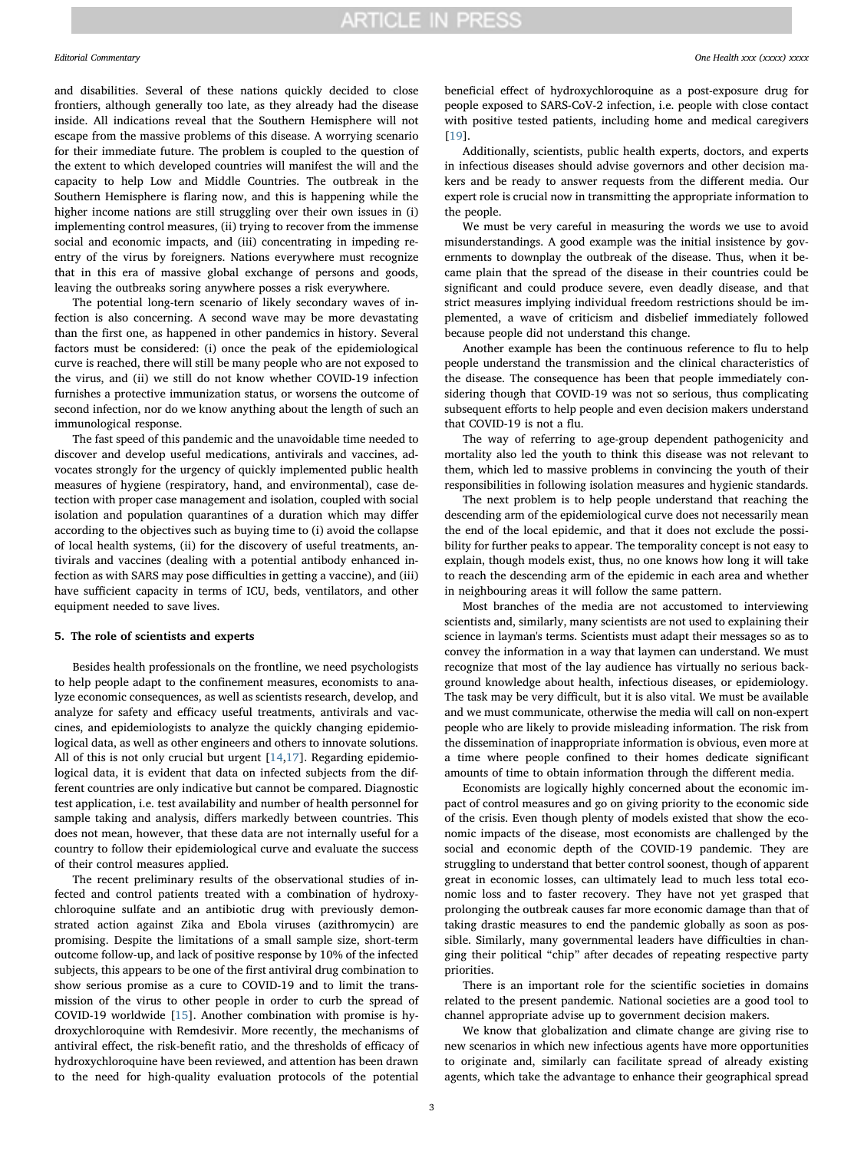and disabilities. Several of these nations quickly decided to close frontiers, although generally too late, as they already had the disease inside. All indications reveal that the Southern Hemisphere will not escape from the massive problems of this disease. A worrying scenario for their immediate future. The problem is coupled to the question of the extent to which developed countries will manifest the will and the capacity to help Low and Middle Countries. The outbreak in the Southern Hemisphere is flaring now, and this is happening while the higher income nations are still struggling over their own issues in (i) implementing control measures, (ii) trying to recover from the immense social and economic impacts, and (iii) concentrating in impeding reentry of the virus by foreigners. Nations everywhere must recognize that in this era of massive global exchange of persons and goods, leaving the outbreaks soring anywhere posses a risk everywhere.

The potential long-tern scenario of likely secondary waves of infection is also concerning. A second wave may be more devastating than the first one, as happened in other pandemics in history. Several factors must be considered: (i) once the peak of the epidemiological curve is reached, there will still be many people who are not exposed to the virus, and (ii) we still do not know whether COVID-19 infection furnishes a protective immunization status, or worsens the outcome of second infection, nor do we know anything about the length of such an immunological response.

The fast speed of this pandemic and the unavoidable time needed to discover and develop useful medications, antivirals and vaccines, advocates strongly for the urgency of quickly implemented public health measures of hygiene (respiratory, hand, and environmental), case detection with proper case management and isolation, coupled with social isolation and population quarantines of a duration which may differ according to the objectives such as buying time to (i) avoid the collapse of local health systems, (ii) for the discovery of useful treatments, antivirals and vaccines (dealing with a potential antibody enhanced infection as with SARS may pose difficulties in getting a vaccine), and (iii) have sufficient capacity in terms of ICU, beds, ventilators, and other equipment needed to save lives.

#### 5. The role of scientists and experts

Besides health professionals on the frontline, we need psychologists to help people adapt to the confinement measures, economists to analyze economic consequences, as well as scientists research, develop, and analyze for safety and efficacy useful treatments, antivirals and vaccines, and epidemiologists to analyze the quickly changing epidemiological data, as well as other engineers and others to innovate solutions. All of this is not only crucial but urgent [\[14](#page-3-15)[,17](#page-3-7)]. Regarding epidemiological data, it is evident that data on infected subjects from the different countries are only indicative but cannot be compared. Diagnostic test application, i.e. test availability and number of health personnel for sample taking and analysis, differs markedly between countries. This does not mean, however, that these data are not internally useful for a country to follow their epidemiological curve and evaluate the success of their control measures applied.

The recent preliminary results of the observational studies of infected and control patients treated with a combination of hydroxychloroquine sulfate and an antibiotic drug with previously demonstrated action against Zika and Ebola viruses (azithromycin) are promising. Despite the limitations of a small sample size, short-term outcome follow-up, and lack of positive response by 10% of the infected subjects, this appears to be one of the first antiviral drug combination to show serious promise as a cure to COVID-19 and to limit the transmission of the virus to other people in order to curb the spread of COVID-19 worldwide [[15\]](#page-3-16). Another combination with promise is hydroxychloroquine with Remdesivir. More recently, the mechanisms of antiviral effect, the risk-benefit ratio, and the thresholds of efficacy of hydroxychloroquine have been reviewed, and attention has been drawn to the need for high-quality evaluation protocols of the potential beneficial effect of hydroxychloroquine as a post-exposure drug for people exposed to SARS-CoV-2 infection, i.e. people with close contact with positive tested patients, including home and medical caregivers [[19\]](#page-3-17).

Additionally, scientists, public health experts, doctors, and experts in infectious diseases should advise governors and other decision makers and be ready to answer requests from the different media. Our expert role is crucial now in transmitting the appropriate information to the people.

We must be very careful in measuring the words we use to avoid misunderstandings. A good example was the initial insistence by governments to downplay the outbreak of the disease. Thus, when it became plain that the spread of the disease in their countries could be significant and could produce severe, even deadly disease, and that strict measures implying individual freedom restrictions should be implemented, a wave of criticism and disbelief immediately followed because people did not understand this change.

Another example has been the continuous reference to flu to help people understand the transmission and the clinical characteristics of the disease. The consequence has been that people immediately considering though that COVID-19 was not so serious, thus complicating subsequent efforts to help people and even decision makers understand that COVID-19 is not a flu.

The way of referring to age-group dependent pathogenicity and mortality also led the youth to think this disease was not relevant to them, which led to massive problems in convincing the youth of their responsibilities in following isolation measures and hygienic standards.

The next problem is to help people understand that reaching the descending arm of the epidemiological curve does not necessarily mean the end of the local epidemic, and that it does not exclude the possibility for further peaks to appear. The temporality concept is not easy to explain, though models exist, thus, no one knows how long it will take to reach the descending arm of the epidemic in each area and whether in neighbouring areas it will follow the same pattern.

Most branches of the media are not accustomed to interviewing scientists and, similarly, many scientists are not used to explaining their science in layman's terms. Scientists must adapt their messages so as to convey the information in a way that laymen can understand. We must recognize that most of the lay audience has virtually no serious background knowledge about health, infectious diseases, or epidemiology. The task may be very difficult, but it is also vital. We must be available and we must communicate, otherwise the media will call on non-expert people who are likely to provide misleading information. The risk from the dissemination of inappropriate information is obvious, even more at a time where people confined to their homes dedicate significant amounts of time to obtain information through the different media.

Economists are logically highly concerned about the economic impact of control measures and go on giving priority to the economic side of the crisis. Even though plenty of models existed that show the economic impacts of the disease, most economists are challenged by the social and economic depth of the COVID-19 pandemic. They are struggling to understand that better control soonest, though of apparent great in economic losses, can ultimately lead to much less total economic loss and to faster recovery. They have not yet grasped that prolonging the outbreak causes far more economic damage than that of taking drastic measures to end the pandemic globally as soon as possible. Similarly, many governmental leaders have difficulties in changing their political "chip" after decades of repeating respective party priorities.

There is an important role for the scientific societies in domains related to the present pandemic. National societies are a good tool to channel appropriate advise up to government decision makers.

We know that globalization and climate change are giving rise to new scenarios in which new infectious agents have more opportunities to originate and, similarly can facilitate spread of already existing agents, which take the advantage to enhance their geographical spread